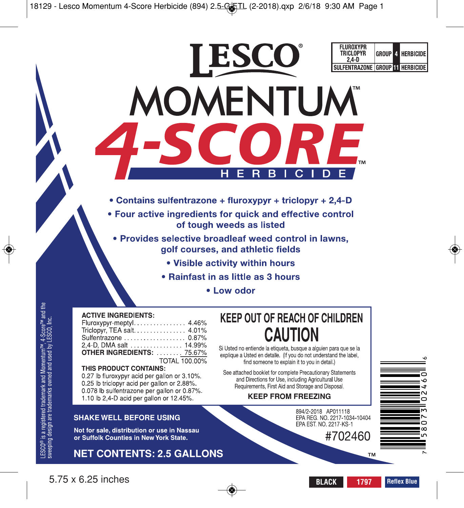

- Contains sulfentrazone + fluroxypyr + triclopyr + 2,4-D
- Four active ingredients for quick and effective control of tough weeds as listed
	- Provides selective broadleaf weed control in lawns, golf courses, and athletic fields
		- Visible activity within hours
		- Rainfast in as little as 3 hours
			- Low odor

## **ACTIVE INGREDIENTS:**

Fluroxypyr-meptyl............... 4.46% Triclopyr, TEA salt................. 4.01% Sulfentrazone . . . . . . . . . . . . . . . . . 0.87% 2.4-D. DMA salt ................ 14.99% OTHER INGREDIENTS: 75.67% TOTAL 100.00%

#### THIS PRODUCT CONTAINS:

0.27 lb fluroxypyr acid per gallon or 3.10%. 0.25 lb triclopyr acid per gallon or 2.88%. 0.078 lb sulfentrazone per gallon or 0.87%. 1.10 lb 2.4-D acid per gallon or 12.45%.

## **SHAKE WELL BEFORE USING**

Not for sale, distribution or use in Nassau or Suffolk Counties in New York State.

## **NET CONTENTS: 2.5 GALLONS**

**KEEP OUT OF REACH OF CHILDREN CAUTION** 

Si Usted no entiende la etiqueta, busque a alguien para que se la explique a Usted en detaile. (If you do not understand the label, find someone to explain it to you in detail.)

See attached booklet for complete Precautionary Statements and Directions for Use, including Agricultural Use Requirements. First Aid and Storage and Disposal.

## **KEEP FROM FREEZING**

894/2-2018 AP011118 EPA REG. NO. 2217-1034-10404 EPA EST. NO. 2217-KS-1

#702460

**TM** 

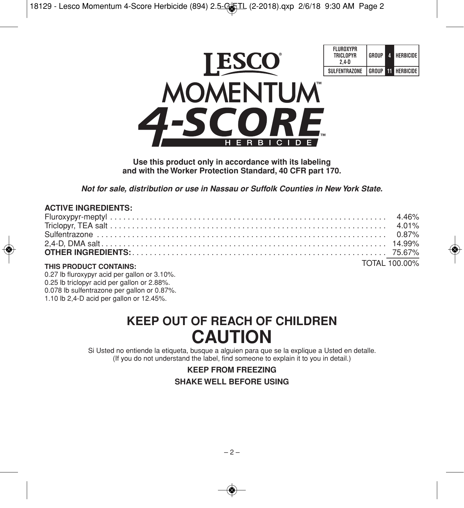

**Use this product only in accordance with its labeling and with the Worker Protection Standard, 40 CFR part 170.**

*Not for sale, distribution or use in Nassau or Suffolk Counties in New York State.*

|                          | the contract of the contract of the contract of the contract of the contract of |
|--------------------------|---------------------------------------------------------------------------------|
| $\overline{\phantom{a}}$ |                                                                                 |

## **THIS PRODUCT CONTAINS:** TOTAL 100.00%

0.27 lb fluroxypyr acid per gallon or 3.10%. 0.25 lb triclopyr acid per gallon or 2.88%. 0.078 lb sulfentrazone per gallon or 0.87%. 1.10 lb 2,4-D acid per gallon or 12.45%.

# **KEEP OUT OF REACH OF CHILDREN CAUTION**

Si Usted no entiende la etiqueta, busque a alguien para que se la explique a Usted en detalle. (If you do not understand the label, find someone to explain it to you in detail.)

## **KEEP FROM FREEZING SHAKE WELL BEFORE USING**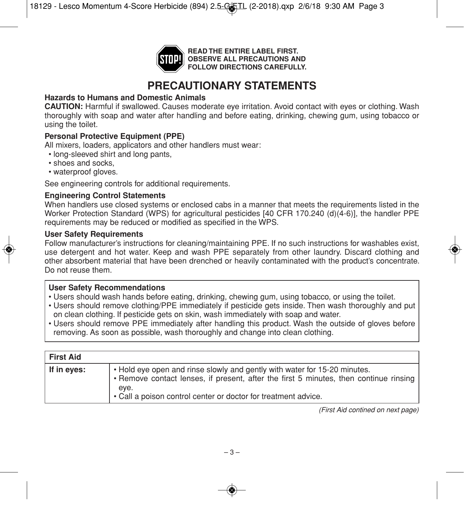

**READ THE ENTIRE LABEL FIRST. OBSERVE ALL PRECAUTIONS AND FOLLOW DIRECTIONS CAREFULLY.**

## **PRECAUTIONARY STATEMENTS**

## **Hazards to Humans and Domestic Animals**

**CAUTION:** Harmful if swallowed. Causes moderate eye irritation. Avoid contact with eyes or clothing. Wash thoroughly with soap and water after handling and before eating, drinking, chewing gum, using tobacco or using the toilet.

## **Personal Protective Equipment (PPE)**

All mixers, loaders, applicators and other handlers must wear:

- long-sleeved shirt and long pants,
- shoes and socks,
- waterproof gloves.

See engineering controls for additional requirements.

## **Engineering Control Statements**

When handlers use closed systems or enclosed cabs in a manner that meets the requirements listed in the Worker Protection Standard (WPS) for agricultural pesticides [40 CFR 170.240 (d)(4-6)], the handler PPE requirements may be reduced or modified as specified in the WPS.

#### **User Safety Requirements**

Follow manufacturer's instructions for cleaning/maintaining PPE. If no such instructions for washables exist, use detergent and hot water. Keep and wash PPE separately from other laundry. Discard clothing and other absorbent material that have been drenched or heavily contaminated with the product's concentrate. Do not reuse them.

## **User Safety Recommendations**

- Users should wash hands before eating, drinking, chewing gum, using tobacco, or using the toilet.
- Users should remove clothing/PPE immediately if pesticide gets inside. Then wash thoroughly and put on clean clothing. If pesticide gets on skin, wash immediately with soap and water.
- Users should remove PPE immediately after handling this product. Wash the outside of gloves before removing. As soon as possible, wash thoroughly and change into clean clothing.

| <b>First Aid</b> |                                                                                                                                                                                                                                              |
|------------------|----------------------------------------------------------------------------------------------------------------------------------------------------------------------------------------------------------------------------------------------|
| If in eves:      | • Hold eye open and rinse slowly and gently with water for 15-20 minutes.<br>• Remove contact lenses, if present, after the first 5 minutes, then continue rinsing<br>eye.<br>• Call a poison control center or doctor for treatment advice. |

*(First Aid contined on next page)*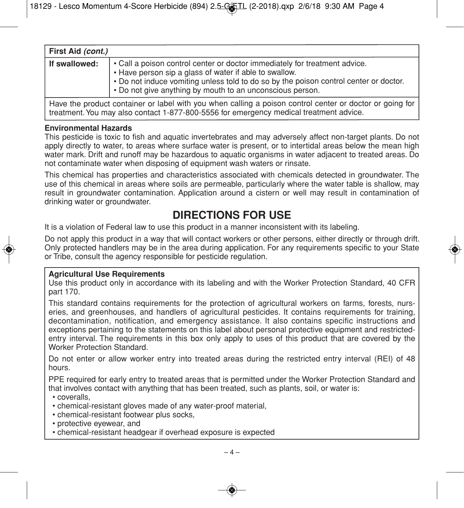| First Aid (cont.) |                                                                                                                                                                                                                                                                                            |  |  |
|-------------------|--------------------------------------------------------------------------------------------------------------------------------------------------------------------------------------------------------------------------------------------------------------------------------------------|--|--|
| If swallowed:     | . Call a poison control center or doctor immediately for treatment advice.<br>• Have person sip a glass of water if able to swallow.<br>. Do not induce vomiting unless told to do so by the poison control center or doctor.<br>• Do not give anything by mouth to an unconscious person. |  |  |
|                   | Have the product container or label with you when calling a poison control center or doctor or going for<br>treatment. You may also contact 1-877-800-5556 for emergency medical treatment advice.                                                                                         |  |  |

#### **Environmental Hazards**

This pesticide is toxic to fish and aquatic invertebrates and may adversely affect non-target plants. Do not apply directly to water, to areas where surface water is present, or to intertidal areas below the mean high water mark. Drift and runoff may be hazardous to aquatic organisms in water adjacent to treated areas. Do not contaminate water when disposing of equipment wash waters or rinsate.

This chemical has properties and characteristics associated with chemicals detected in groundwater. The use of this chemical in areas where soils are permeable, particularly where the water table is shallow, may result in groundwater contamination. Application around a cistern or well may result in contamination of drinking water or groundwater.

## **DIRECTIONS FOR USE**

It is a violation of Federal law to use this product in a manner inconsistent with its labeling.

Do not apply this product in a way that will contact workers or other persons, either directly or through drift. Only protected handlers may be in the area during application. For any requirements specific to your State or Tribe, consult the agency responsible for pesticide regulation.

## **Agricultural Use Requirements**

Use this product only in accordance with its labeling and with the Worker Protection Standard, 40 CFR part 170.

This standard contains requirements for the protection of agricultural workers on farms, forests, nurseries, and greenhouses, and handlers of agricultural pesticides. It contains requirements for training, decontamination, notification, and emergency assistance. It also contains specific instructions and exceptions pertaining to the statements on this label about personal protective equipment and restrictedentry interval. The requirements in this box only apply to uses of this product that are covered by the Worker Protection Standard.

Do not enter or allow worker entry into treated areas during the restricted entry interval (REI) of 48 hours.

PPE required for early entry to treated areas that is permitted under the Worker Protection Standard and that involves contact with anything that has been treated, such as plants, soil, or water is:

• coveralls,

- chemical-resistant gloves made of any water-proof material,
- chemical-resistant footwear plus socks,
- protective eyewear, and
- chemical-resistant headgear if overhead exposure is expected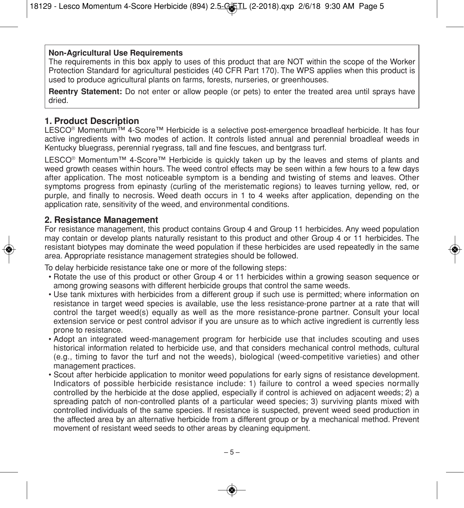#### **Non-Agricultural Use Requirements**

The requirements in this box apply to uses of this product that are NOT within the scope of the Worker Protection Standard for agricultural pesticides (40 CFR Part 170). The WPS applies when this product is used to produce agricultural plants on farms, forests, nurseries, or greenhouses.

**Reentry Statement:** Do not enter or allow people (or pets) to enter the treated area until sprays have dried.

## **1. Product Description**

LESCO® Momentum™ 4-Score™ Herbicide is a selective post-emergence broadleaf herbicide. It has four active ingredients with two modes of action. It controls listed annual and perennial broadleaf weeds in Kentucky bluegrass, perennial ryegrass, tall and fine fescues, and bentgrass turf.

LESCO® Momentum™ 4-Score™ Herbicide is quickly taken up by the leaves and stems of plants and weed growth ceases within hours. The weed control effects may be seen within a few hours to a few days after application. The most noticeable symptom is a bending and twisting of stems and leaves. Other symptoms progress from epinasty (curling of the meristematic regions) to leaves turning yellow, red, or purple, and finally to necrosis. Weed death occurs in 1 to 4 weeks after application, depending on the application rate, sensitivity of the weed, and environmental conditions.

## **2. Resistance Management**

For resistance management, this product contains Group 4 and Group 11 herbicides. Any weed population may contain or develop plants naturally resistant to this product and other Group 4 or 11 herbicides. The resistant biotypes may dominate the weed population if these herbicides are used repeatedly in the same area. Appropriate resistance management strategies should be followed.

To delay herbicide resistance take one or more of the following steps:

- Rotate the use of this product or other Group 4 or 11 herbicides within a growing season sequence or among growing seasons with different herbicide groups that control the same weeds.
- Use tank mixtures with herbicides from a different group if such use is permitted; where information on resistance in target weed species is available, use the less resistance-prone partner at a rate that will control the target weed(s) equally as well as the more resistance-prone partner. Consult your local extension service or pest control advisor if you are unsure as to which active ingredient is currently less prone to resistance.
- Adopt an integrated weed-management program for herbicide use that includes scouting and uses historical information related to herbicide use, and that considers mechanical control methods, cultural (e.g., timing to favor the turf and not the weeds), biological (weed-competitive varieties) and other management practices.
- Scout after herbicide application to monitor weed populations for early signs of resistance development. Indicators of possible herbicide resistance include: 1) failure to control a weed species normally controlled by the herbicide at the dose applied, especially if control is achieved on adjacent weeds; 2) a spreading patch of non-controlled plants of a particular weed species; 3) surviving plants mixed with controlled individuals of the same species. If resistance is suspected, prevent weed seed production in the affected area by an alternative herbicide from a different group or by a mechanical method. Prevent movement of resistant weed seeds to other areas by cleaning equipment.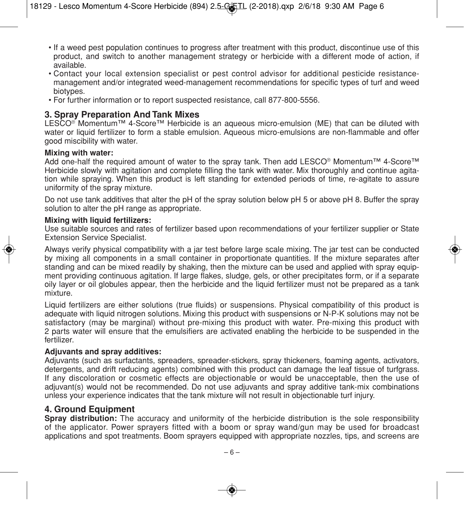- If a weed pest population continues to progress after treatment with this product, discontinue use of this product, and switch to another management strategy or herbicide with a different mode of action, if available.
- Contact your local extension specialist or pest control advisor for additional pesticide resistancemanagement and/or integrated weed-management recommendations for specific types of turf and weed biotypes.
- For further information or to report suspected resistance, call 877-800-5556.

## **3. Spray Preparation And Tank Mixes**

LESCO® Momentum™ 4-Score™ Herbicide is an aqueous micro-emulsion (ME) that can be diluted with water or liquid fertilizer to form a stable emulsion. Aqueous micro-emulsions are non-flammable and offer good miscibility with water.

#### **Mixing with water:**

Add one-half the required amount of water to the spray tank. Then add LESCO® Momentum™ 4-Score™ Herbicide slowly with agitation and complete filling the tank with water. Mix thoroughly and continue agitation while spraying. When this product is left standing for extended periods of time, re-agitate to assure uniformity of the spray mixture.

Do not use tank additives that alter the pH of the spray solution below pH 5 or above pH 8. Buffer the spray solution to alter the pH range as appropriate.

#### **Mixing with liquid fertilizers:**

Use suitable sources and rates of fertilizer based upon recommendations of your fertilizer supplier or State Extension Service Specialist.

Always verify physical compatibility with a jar test before large scale mixing. The jar test can be conducted by mixing all components in a small container in proportionate quantities. If the mixture separates after standing and can be mixed readily by shaking, then the mixture can be used and applied with spray equipment providing continuous agitation. If large flakes, sludge, gels, or other precipitates form, or if a separate oily layer or oil globules appear, then the herbicide and the liquid fertilizer must not be prepared as a tank mixture.

Liquid fertilizers are either solutions (true fluids) or suspensions. Physical compatibility of this product is adequate with liquid nitrogen solutions. Mixing this product with suspensions or N-P-K solutions may not be satisfactory (may be marginal) without pre-mixing this product with water. Pre-mixing this product with 2 parts water will ensure that the emulsifiers are activated enabling the herbicide to be suspended in the fertilizer.

#### **Adjuvants and spray additives:**

Adjuvants (such as surfactants, spreaders, spreader-stickers, spray thickeners, foaming agents, activators, detergents, and drift reducing agents) combined with this product can damage the leaf tissue of turfgrass. If any discoloration or cosmetic effects are objectionable or would be unacceptable, then the use of adjuvant(s) would not be recommended. Do not use adjuvants and spray additive tank-mix combinations unless your experience indicates that the tank mixture will not result in objectionable turf injury.

## **4. Ground Equipment**

**Spray distribution:** The accuracy and uniformity of the herbicide distribution is the sole responsibility of the applicator. Power sprayers fitted with a boom or spray wand/gun may be used for broadcast applications and spot treatments. Boom sprayers equipped with appropriate nozzles, tips, and screens are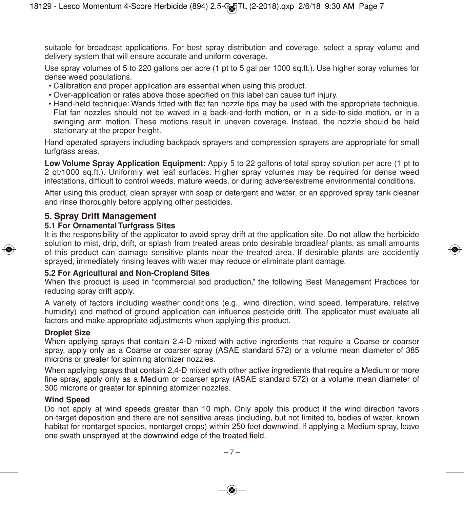suitable for broadcast applications. For best spray distribution and coverage, select a spray volume and delivery system that will ensure accurate and uniform coverage.

Use spray volumes of 5 to 220 gallons per acre (1 pt to 5 gal per 1000 sq.ft.). Use higher spray volumes for dense weed populations.

- Calibration and proper application are essential when using this product.
- Over-application or rates above those specified on this label can cause turf injury.
- Hand-held technique: Wands fitted with flat fan nozzle tips may be used with the appropriate technique. Flat fan nozzles should not be waved in a back-and-forth motion, or in a side-to-side motion, or in a swinging arm motion. These motions result in uneven coverage. Instead, the nozzle should be held stationary at the proper height.

Hand operated sprayers including backpack sprayers and compression sprayers are appropriate for small turfgrass areas.

**Low Volume Spray Application Equipment:** Apply 5 to 22 gallons of total spray solution per acre (1 pt to 2 qt/1000 sq.ft.). Uniformly wet leaf surfaces. Higher spray volumes may be required for dense weed infestations, difficult to control weeds, mature weeds, or during adverse/extreme environmental conditions.

After using this product, clean sprayer with soap or detergent and water, or an approved spray tank cleaner and rinse thoroughly before applying other pesticides.

## **5. Spray Drift Management**

#### **5.1 For Ornamental Turfgrass Sites**

It is the responsibility of the applicator to avoid spray drift at the application site. Do not allow the herbicide solution to mist, drip, drift, or splash from treated areas onto desirable broadleaf plants, as small amounts of this product can damage sensitive plants near the treated area. If desirable plants are accidently sprayed, immediately rinsing leaves with water may reduce or eliminate plant damage.

#### **5.2 For Agricultural and Non-Cropland Sites**

When this product is used in "commercial sod production," the following Best Management Practices for reducing spray drift apply.

A variety of factors including weather conditions (e.g., wind direction, wind speed, temperature, relative humidity) and method of ground application can influence pesticide drift. The applicator must evaluate all factors and make appropriate adjustments when applying this product.

#### **Droplet Size**

When applying sprays that contain 2.4-D mixed with active ingredients that require a Coarse or coarser spray, apply only as a Coarse or coarser spray (ASAE standard 572) or a volume mean diameter of 385 microns or greater for spinning atomizer nozzles.

When applying sprays that contain 2.4-D mixed with other active ingredients that require a Medium or more fine spray, apply only as a Medium or coarser spray (ASAE standard 572) or a volume mean diameter of 300 microns or greater for spinning atomizer nozzles.

#### **Wind Speed**

Do not apply at wind speeds greater than 10 mph. Only apply this product if the wind direction favors on-target deposition and there are not sensitive areas (including, but not limited to, bodies of water, known habitat for nontarget species, nontarget crops) within 250 feet downwind. If applying a Medium spray, leave one swath unsprayed at the downwind edge of the treated field.

– 7 –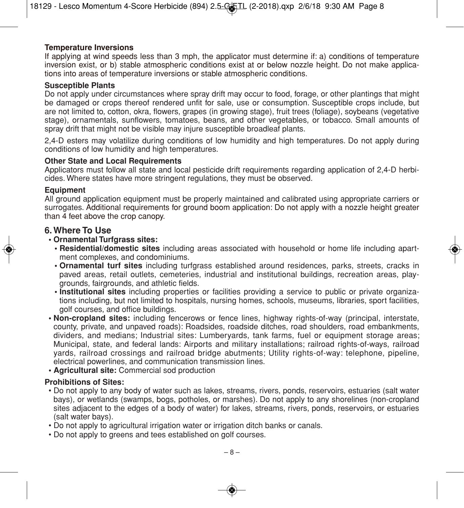#### **Temperature Inversions**

If applying at wind speeds less than 3 mph, the applicator must determine if: a) conditions of temperature inversion exist, or b) stable atmospheric conditions exist at or below nozzle height. Do not make applications into areas of temperature inversions or stable atmospheric conditions.

#### **Susceptible Plants**

Do not apply under circumstances where spray drift may occur to food, forage, or other plantings that might be damaged or crops thereof rendered unfit for sale, use or consumption. Susceptible crops include, but are not limited to, cotton, okra, flowers, grapes (in growing stage), fruit trees (foliage), soybeans (vegetative stage), ornamentals, sunflowers, tomatoes, beans, and other vegetables, or tobacco. Small amounts of spray drift that might not be visible may injure susceptible broadleaf plants.

2,4-D esters may volatilize during conditions of low humidity and high temperatures. Do not apply during conditions of low humidity and high temperatures.

#### **Other State and Local Requirements**

Applicators must follow all state and local pesticide drift requirements regarding application of 2,4-D herbicides. Where states have more stringent regulations, they must be observed.

#### **Equipment**

All ground application equipment must be properly maintained and calibrated using appropriate carriers or surrogates. Additional requirements for ground boom application: Do not apply with a nozzle height greater than 4 feet above the crop canopy.

## **6. Where To Use**

- **• Ornamental Turfgrass sites:**
- **• Residential/domestic sites** including areas associated with household or home life including apartment complexes, and condominiums.
- **• Ornamental turf sites** including turfgrass established around residences, parks, streets, cracks in paved areas, retail outlets, cemeteries, industrial and institutional buildings, recreation areas, playgrounds, fairgrounds, and athletic fields.
- **• Institutional sites** including properties or facilities providing a service to public or private organizations including, but not limited to hospitals, nursing homes, schools, museums, libraries, sport facilities, golf courses, and office buildings.
- **• Non-cropland sites:** including fencerows or fence lines, highway rights-of-way (principal, interstate, county, private, and unpaved roads): Roadsides, roadside ditches, road shoulders, road embankments, dividers, and medians; Industrial sites: Lumberyards, tank farms, fuel or equipment storage areas; Municipal, state, and federal lands: Airports and military installations; railroad rights-of-ways, railroad yards, railroad crossings and railroad bridge abutments; Utility rights-of-way: telephone, pipeline, electrical powerlines, and communication transmission lines.
- **• Agricultural site:** Commercial sod production

## **Prohibitions of Sites:**

- Do not apply to any body of water such as lakes, streams, rivers, ponds, reservoirs, estuaries (salt water bays), or wetlands (swamps, bogs, potholes, or marshes). Do not apply to any shorelines (non-cropland sites adjacent to the edges of a body of water) for lakes, streams, rivers, ponds, reservoirs, or estuaries (salt water bays).
- Do not apply to agricultural irrigation water or irrigation ditch banks or canals.
- Do not apply to greens and tees established on golf courses.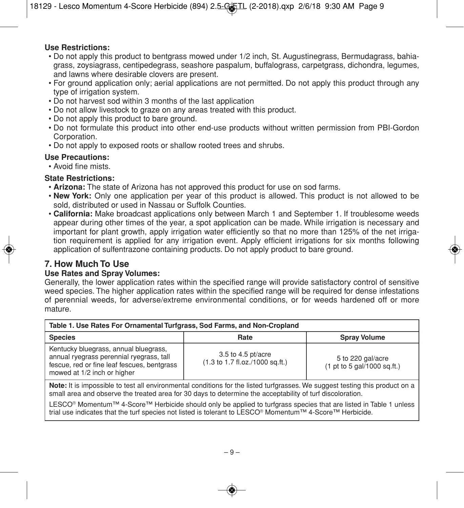## **Use Restrictions:**

- Do not apply this product to bentgrass mowed under 1/2 inch, St. Augustinegrass, Bermudagrass, bahiagrass, zoysiagrass, centipedegrass, seashore paspalum, buffalograss, carpetgrass, dichondra, legumes, and lawns where desirable clovers are present.
- For ground application only; aerial applications are not permitted. Do not apply this product through any type of irrigation system.
- Do not harvest sod within 3 months of the last application
- Do not allow livestock to graze on any areas treated with this product.
- Do not apply this product to bare ground.
- Do not formulate this product into other end-use products without written permission from PBI-Gordon Corporation.
- Do not apply to exposed roots or shallow rooted trees and shrubs.

## **Use Precautions:**

• Avoid fine mists.

## **State Restrictions:**

- **Arizona:** The state of Arizona has not approved this product for use on sod farms.
- **New York:** Only one application per year of this product is allowed. This product is not allowed to be sold, distributed or used in Nassau or Suffolk Counties.
- **California:** Make broadcast applications only between March 1 and September 1. If troublesome weeds appear during other times of the year, a spot application can be made. While irrigation is necessary and important for plant growth, apply irrigation water efficiently so that no more than 125% of the net irrigation requirement is applied for any irrigation event. Apply efficient irrigations for six months following application of sulfentrazone containing products. Do not apply product to bare ground.

## **7. How Much To Use**

## **Use Rates and Spray Volumes:**

Generally, the lower application rates within the specified range will provide satisfactory control of sensitive weed species. The higher application rates within the specified range will be required for dense infestations of perennial weeds, for adverse/extreme environmental conditions, or for weeds hardened off or more mature.

| Table 1. Use Rates For Ornamental Turfgrass, Sod Farms, and Non-Cropland                                                                                        |                                                                                  |                                                                              |  |
|-----------------------------------------------------------------------------------------------------------------------------------------------------------------|----------------------------------------------------------------------------------|------------------------------------------------------------------------------|--|
| <b>Species</b>                                                                                                                                                  | Rate                                                                             | <b>Spray Volume</b>                                                          |  |
| Kentucky bluegrass, annual bluegrass,<br>annual ryegrass perennial ryegrass, tall<br>fescue, red or fine leaf fescues, bentgrass<br>mowed at 1/2 inch or higher | 3.5 to 4.5 pt/acre<br>$(1.3 \text{ to } 1.7 \text{ fl.oz.}/1000 \text{ sq.ft.})$ | 5 to 220 gal/acre<br>$(1 \text{ pt to } 5 \text{ gal}/1000 \text{ sq.fit.})$ |  |

**Note:** It is impossible to test all environmental conditions for the listed turfgrasses. We suggest testing this product on a small area and observe the treated area for 30 days to determine the acceptability of turf discoloration.

LESCO® Momentum™ 4-Score™ Herbicide should only be applied to turfgrass species that are listed in Table 1 unless trial use indicates that the turf species not listed is tolerant to LESCO® Momentum™ 4-Score™ Herbicide.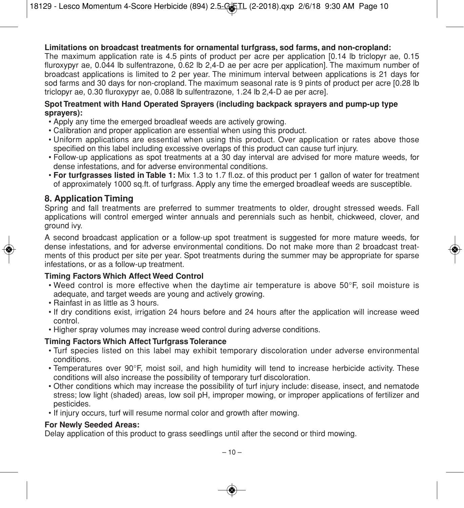#### **Limitations on broadcast treatments for ornamental turfgrass, sod farms, and non-cropland:**

The maximum application rate is 4.5 pints of product per acre per application [0.14 lb triclopyr ae, 0.15 fluroxypyr ae, 0.044 lb sulfentrazone, 0.62 lb 2,4-D ae per acre per application]. The maximum number of broadcast applications is limited to 2 per year. The minimum interval between applications is 21 days for sod farms and 30 days for non-cropland. The maximum seasonal rate is 9 pints of product per acre [0.28 lb triclopyr ae, 0.30 fluroxypyr ae, 0.088 lb sulfentrazone, 1.24 lb 2,4-D ae per acre].

#### **Spot Treatment with Hand Operated Sprayers (including backpack sprayers and pump-up type sprayers):**

- Apply any time the emerged broadleaf weeds are actively growing.
- Calibration and proper application are essential when using this product.
- Uniform applications are essential when using this product. Over application or rates above those specified on this label including excessive overlaps of this product can cause turf injury.
- Follow-up applications as spot treatments at a 30 day interval are advised for more mature weeds, for dense infestations, and for adverse environmental conditions.
- **For turfgrasses listed in Table 1:** Mix 1.3 to 1.7 fl.oz. of this product per 1 gallon of water for treatment of approximately 1000 sq.ft. of turfgrass. Apply any time the emerged broadleaf weeds are susceptible.

## **8. Application Timing**

Spring and fall treatments are preferred to summer treatments to older, drought stressed weeds. Fall applications will control emerged winter annuals and perennials such as henbit, chickweed, clover, and ground ivy.

A second broadcast application or a follow-up spot treatment is suggested for more mature weeds, for dense infestations, and for adverse environmental conditions. Do not make more than 2 broadcast treatments of this product per site per year. Spot treatments during the summer may be appropriate for sparse infestations, or as a follow-up treatment.

## **Timing Factors Which Affect Weed Control**

- Weed control is more effective when the daytime air temperature is above 50°F, soil moisture is adequate, and target weeds are young and actively growing.
- Rainfast in as little as 3 hours.
- If dry conditions exist, irrigation 24 hours before and 24 hours after the application will increase weed control.
- Higher spray volumes may increase weed control during adverse conditions.

## **Timing Factors Which Affect Turfgrass Tolerance**

- Turf species listed on this label may exhibit temporary discoloration under adverse environmental conditions.
- Temperatures over 90°F, moist soil, and high humidity will tend to increase herbicide activity. These conditions will also increase the possibility of temporary turf discoloration.
- Other conditions which may increase the possibility of turf injury include: disease, insect, and nematode stress; low light (shaded) areas, low soil pH, improper mowing, or improper applications of fertilizer and pesticides.
- If injury occurs, turf will resume normal color and growth after mowing.

## **For Newly Seeded Areas:**

Delay application of this product to grass seedlings until after the second or third mowing.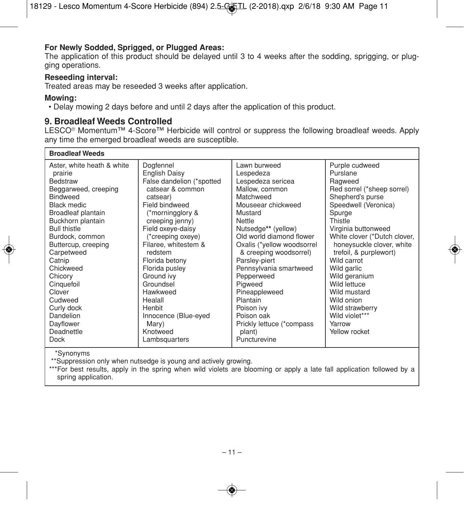## **For Newly Sodded, Sprigged, or Plugged Areas:**

The application of this product should be delayed until 3 to 4 weeks after the sodding, sprigging, or plugging operations.

## **Reseeding interval:**

Treated areas may be reseeded 3 weeks after application.

#### **Mowing:**

• Delay mowing 2 days before and until 2 days after the application of this product.

## **9. Broadleaf Weeds Controlled**

LESCO® Momentum™ 4-Score™ Herbicide will control or suppress the following broadleaf weeds. Apply any time the emerged broadleaf weeds are susceptible.

| <b>Broadleaf Weeds</b>                                                                                                                                                                                                                                                                                                                                                                        |                                                                                                                                                                                                                                                                                                                                                                                                    |                                                                                                                                                                                                                                                                                                                                                                                                                         |                                                                                                                                                                                                                                                                                                                                                                                                                 |
|-----------------------------------------------------------------------------------------------------------------------------------------------------------------------------------------------------------------------------------------------------------------------------------------------------------------------------------------------------------------------------------------------|----------------------------------------------------------------------------------------------------------------------------------------------------------------------------------------------------------------------------------------------------------------------------------------------------------------------------------------------------------------------------------------------------|-------------------------------------------------------------------------------------------------------------------------------------------------------------------------------------------------------------------------------------------------------------------------------------------------------------------------------------------------------------------------------------------------------------------------|-----------------------------------------------------------------------------------------------------------------------------------------------------------------------------------------------------------------------------------------------------------------------------------------------------------------------------------------------------------------------------------------------------------------|
| Aster, white heath & white<br>prairie<br><b>Bedstraw</b><br>Beggarweed, creeping<br><b>Bindweed</b><br><b>Black medic</b><br>Broadleaf plantain<br>Buckhorn plantain<br><b>Bull thistle</b><br>Burdock, common<br>Buttercup, creeping<br>Carpetweed<br>Catnip<br>Chickweed<br>Chicory<br>Cinquefoil<br>Clover<br>Cudweed<br>Curly dock<br>Dandelion<br>Dayflower<br>Deadnettle<br><b>Dock</b> | Dogfennel<br><b>English Daisy</b><br>False dandelion (*spotted<br>catsear & common<br>catsear)<br>Field bindweed<br>(*morningglory &<br>creeping jenny)<br>Field oxeye-daisy<br>(*creeping oxeye)<br>Filaree, whitestem &<br>redstem<br>Florida betony<br>Florida pusley<br>Ground ivy<br>Groundsel<br>Hawkweed<br>Healall<br>Henbit<br>Innocence (Blue-eyed<br>Mary)<br>Knotweed<br>Lambsquarters | Lawn burweed<br>Lespedeza<br>Lespedeza sericea<br>Mallow, common<br>Matchweed<br>Mouseear chickweed<br>Mustard<br>Nettle<br>Nutsedge** (yellow)<br>Old world diamond flower<br>Oxalis (*yellow woodsorrel<br>& creeping woodsorrel)<br>Parsley-piert<br>Pennsylvania smartweed<br>Pepperweed<br>Pigweed<br>Pineappleweed<br>Plantain<br>Poison ivy<br>Poison oak<br>Prickly lettuce (*compass<br>plant)<br>Puncturevine | Purple cudweed<br>Purslane<br>Ragweed<br>Red sorrel (*sheep sorrel)<br>Shepherd's purse<br>Speedwell (Veronica)<br>Spurge<br>Thistle<br>Virginia buttonweed<br>White clover (*Dutch clover,<br>honeysuckle clover, white<br>trefoil, & purplewort)<br>Wild carrot<br>Wild garlic<br>Wild geranium<br>Wild lettuce<br>Wild mustard<br>Wild onion<br>Wild strawberry<br>Wild violet***<br>Yarrow<br>Yellow rocket |
|                                                                                                                                                                                                                                                                                                                                                                                               |                                                                                                                                                                                                                                                                                                                                                                                                    |                                                                                                                                                                                                                                                                                                                                                                                                                         |                                                                                                                                                                                                                                                                                                                                                                                                                 |

\*Synonyms

\*\*Suppression only when nutsedge is young and actively growing.

\*\*\*For best results, apply in the spring when wild violets are blooming or apply a late fall application followed by a spring application.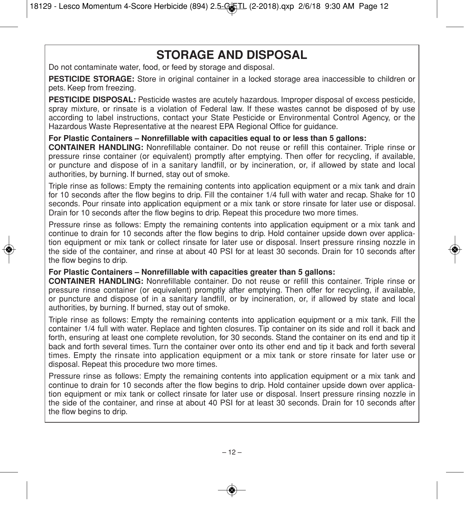## **STORAGE AND DISPOSAL**

Do not contaminate water, food, or feed by storage and disposal.

**PESTICIDE STORAGE:** Store in original container in a locked storage area inaccessible to children or pets. Keep from freezing.

**PESTICIDE DISPOSAL:** Pesticide wastes are acutely hazardous. Improper disposal of excess pesticide, spray mixture, or rinsate is a violation of Federal law. If these wastes cannot be disposed of by use according to label instructions, contact your State Pesticide or Environmental Control Agency, or the Hazardous Waste Representative at the nearest EPA Regional Office for guidance.

**For Plastic Containers – Nonrefillable with capacities equal to or less than 5 gallons:**

**CONTAINER HANDLING:** Nonrefillable container. Do not reuse or refill this container. Triple rinse or pressure rinse container (or equivalent) promptly after emptying. Then offer for recycling, if available, or puncture and dispose of in a sanitary landfill, or by incineration, or, if allowed by state and local authorities, by burning. If burned, stay out of smoke.

Triple rinse as follows: Empty the remaining contents into application equipment or a mix tank and drain for 10 seconds after the flow begins to drip. Fill the container 1/4 full with water and recap. Shake for 10 seconds. Pour rinsate into application equipment or a mix tank or store rinsate for later use or disposal. Drain for 10 seconds after the flow begins to drip. Repeat this procedure two more times.

Pressure rinse as follows: Empty the remaining contents into application equipment or a mix tank and continue to drain for 10 seconds after the flow begins to drip. Hold container upside down over application equipment or mix tank or collect rinsate for later use or disposal. Insert pressure rinsing nozzle in the side of the container, and rinse at about 40 PSI for at least 30 seconds. Drain for 10 seconds after the flow begins to drip.

#### **For Plastic Containers – Nonrefillable with capacities greater than 5 gallons:**

**CONTAINER HANDLING:** Nonrefillable container. Do not reuse or refill this container. Triple rinse or pressure rinse container (or equivalent) promptly after emptying. Then offer for recycling, if available, or puncture and dispose of in a sanitary landfill, or by incineration, or, if allowed by state and local authorities, by burning. If burned, stay out of smoke.

Triple rinse as follows: Empty the remaining contents into application equipment or a mix tank. Fill the container 1/4 full with water. Replace and tighten closures. Tip container on its side and roll it back and forth, ensuring at least one complete revolution, for 30 seconds. Stand the container on its end and tip it back and forth several times. Turn the container over onto its other end and tip it back and forth several times. Empty the rinsate into application equipment or a mix tank or store rinsate for later use or disposal. Repeat this procedure two more times.

Pressure rinse as follows: Empty the remaining contents into application equipment or a mix tank and continue to drain for 10 seconds after the flow begins to drip. Hold container upside down over application equipment or mix tank or collect rinsate for later use or disposal. Insert pressure rinsing nozzle in the side of the container, and rinse at about 40 PSI for at least 30 seconds. Drain for 10 seconds after the flow begins to drip.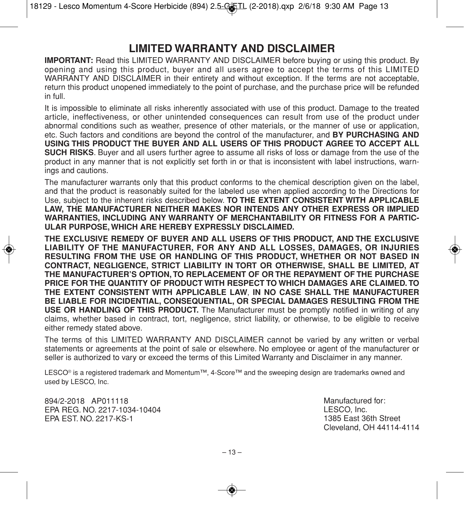## **LIMITED WARRANTY AND DISCLAIMER**

**IMPORTANT:** Read this LIMITED WARRANTY AND DISCLAIMER before buying or using this product. By opening and using this product, buyer and all users agree to accept the terms of this LIMITED WARRANTY AND DISCLAIMER in their entirety and without exception. If the terms are not acceptable, return this product unopened immediately to the point of purchase, and the purchase price will be refunded in full.

It is impossible to eliminate all risks inherently associated with use of this product. Damage to the treated article, ineffectiveness, or other unintended consequences can result from use of the product under abnormal conditions such as weather, presence of other materials, or the manner of use or application, etc. Such factors and conditions are beyond the control of the manufacturer, and **BY PURCHASING AND USING THIS PRODUCT THE BUYER AND ALL USERS OF THIS PRODUCT AGREE TO ACCEPT ALL SUCH RISKS**. Buyer and all users further agree to assume all risks of loss or damage from the use of the product in any manner that is not explicitly set forth in or that is inconsistent with label instructions, warnings and cautions.

The manufacturer warrants only that this product conforms to the chemical description given on the label, and that the product is reasonably suited for the labeled use when applied according to the Directions for Use, subject to the inherent risks described below. **TO THE EXTENT CONSISTENT WITH APPLICABLE LAW, THE MANUFACTURER NEITHER MAKES NOR INTENDS ANY OTHER EXPRESS OR IMPLIED WARRANTIES, INCLUDING ANY WARRANTY OF MERCHANTABILITY OR FITNESS FOR A PARTIC-ULAR PURPOSE, WHICH ARE HEREBY EXPRESSLY DISCLAIMED.**

**THE EXCLUSIVE REMEDY OF BUYER AND ALL USERS OF THIS PRODUCT, AND THE EXCLUSIVE LIABILITY OF THE MANUFACTURER, FOR ANY AND ALL LOSSES, DAMAGES, OR INJURIES RESULTING FROM THE USE OR HANDLING OF THIS PRODUCT, WHETHER OR NOT BASED IN CONTRACT, NEGLIGENCE, STRICT LIABILITY IN TORT OR OTHERWISE, SHALL BE LIMITED, AT THE MANUFACTURER'S OPTION, TO REPLACEMENT OF OR THE REPAYMENT OF THE PURCHASE PRICE FOR THE QUANTITY OF PRODUCT WITH RESPECT TO WHICH DAMAGES ARE CLAIMED. TO THE EXTENT CONSISTENT WITH APPLICABLE LAW**, **IN NO CASE SHALL THE MANUFACTURER BE LIABLE FOR INCIDENTIAL, CONSEQUENTIAL, OR SPECIAL DAMAGES RESULTING FROM THE USE OR HANDLING OF THIS PRODUCT.** The Manufacturer must be promptly notified in writing of any claims, whether based in contract, tort, negligence, strict liability, or otherwise, to be eligible to receive either remedy stated above.

The terms of this LIMITED WARRANTY AND DISCLAIMER cannot be varied by any written or verbal statements or agreements at the point of sale or elsewhere. No employee or agent of the manufacturer or seller is authorized to vary or exceed the terms of this Limited Warranty and Disclaimer in any manner.

LESCO® is a registered trademark and Momentum™, 4-Score™ and the sweeping design are trademarks owned and used by LESCO, Inc.

894/2-2018 AP011118 EPA REG. NO. 2217-1034-10404 EPA EST. NO. 2217-KS-1

Manufactured for: LESCO, Inc. 1385 East 36th Street Cleveland, OH 44114-4114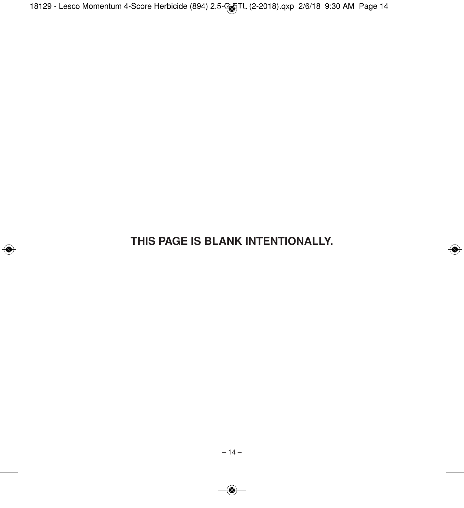## **THIS PAGE IS BLANK INTENTIONALLY.**

€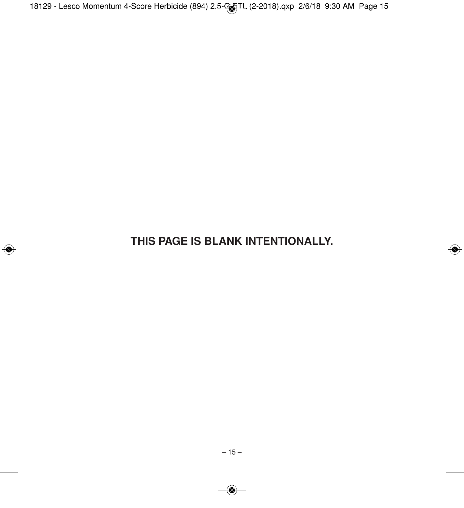## **THIS PAGE IS BLANK INTENTIONALLY.**

€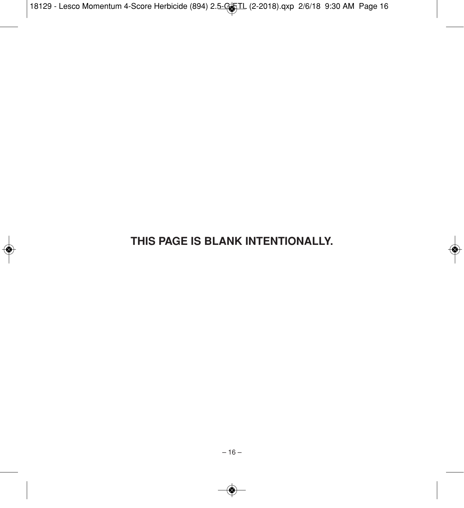## **THIS PAGE IS BLANK INTENTIONALLY.**

€